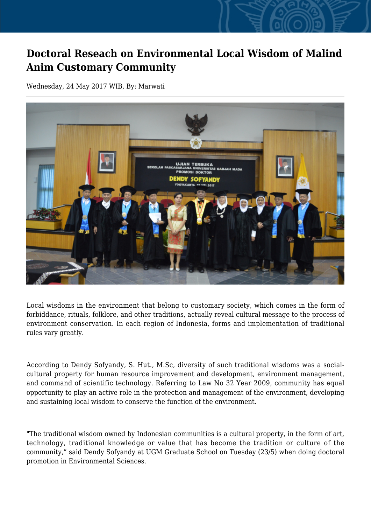## **Doctoral Reseach on Environmental Local Wisdom of Malind Anim Customary Community**

Wednesday, 24 May 2017 WIB, By: Marwati



Local wisdoms in the environment that belong to customary society, which comes in the form of forbiddance, rituals, folklore, and other traditions, actually reveal cultural message to the process of environment conservation. In each region of Indonesia, forms and implementation of traditional rules vary greatly.

According to Dendy Sofyandy, S. Hut., M.Sc, diversity of such traditional wisdoms was a socialcultural property for human resource improvement and development, environment management, and command of scientific technology. Referring to Law No 32 Year 2009, community has equal opportunity to play an active role in the protection and management of the environment, developing and sustaining local wisdom to conserve the function of the environment.

"The traditional wisdom owned by Indonesian communities is a cultural property, in the form of art, technology, traditional knowledge or value that has become the tradition or culture of the community," said Dendy Sofyandy at UGM Graduate School on Tuesday (23/5) when doing doctoral promotion in Environmental Sciences.